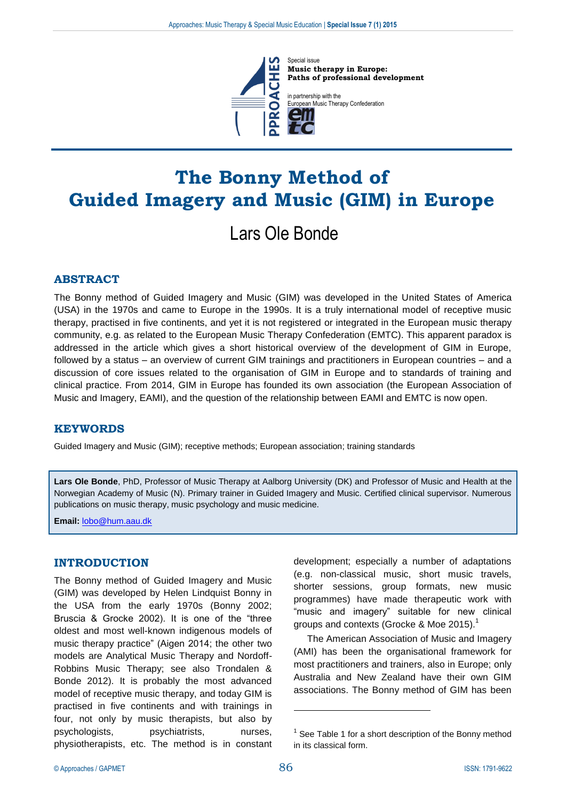

Special issue **Music therapy in Europe: Paths of professional development**

in partnership with the ropean Music Therapy Confederation

# **The Bonny Method of Guided Imagery and Music (GIM) in Europe**

# Lars Ole Bonde

# **ABSTRACT**

The Bonny method of Guided Imagery and Music (GIM) was developed in the United States of America (USA) in the 1970s and came to Europe in the 1990s. It is a truly international model of receptive music therapy, practised in five continents, and yet it is not registered or integrated in the European music therapy community, e.g. as related to the European Music Therapy Confederation (EMTC). This apparent paradox is addressed in the article which gives a short historical overview of the development of GIM in Europe, followed by a status – an overview of current GIM trainings and practitioners in European countries – and a discussion of core issues related to the organisation of GIM in Europe and to standards of training and clinical practice. From 2014, GIM in Europe has founded its own association (the European Association of Music and Imagery, EAMI), and the question of the relationship between EAMI and EMTC is now open.

## **KEYWORDS**

Guided Imagery and Music (GIM); receptive methods; European association; training standards

**Lars Ole Bonde**, PhD, Professor of Music Therapy at Aalborg University (DK) and Professor of Music and Health at the Norwegian Academy of Music (N). Primary trainer in Guided Imagery and Music. Certified clinical supervisor. Numerous publications on music therapy, music psychology and music medicine.

**Email:** [lobo@hum.aau.dk](mailto:lobo@hum.aau.dk)

## **INTRODUCTION**

The Bonny method of Guided Imagery and Music (GIM) was developed by Helen Lindquist Bonny in the USA from the early 1970s (Bonny 2002; Bruscia & Grocke 2002). It is one of the "three oldest and most well-known indigenous models of music therapy practice" (Aigen 2014; the other two models are Analytical Music Therapy and Nordoff-Robbins Music Therapy; see also Trondalen & Bonde 2012). It is probably the most advanced model of receptive music therapy, and today GIM is practised in five continents and with trainings in four, not only by music therapists, but also by psychologists, psychiatrists, nurses, physiotherapists, etc. The method is in constant

development; especially a number of adaptations (e.g. non-classical music, short music travels, shorter sessions, group formats, new music programmes) have made therapeutic work with "music and imagery" suitable for new clinical groups and contexts (Grocke & Moe 2015).

The American Association of Music and Imagery (AMI) has been the organisational framework for most practitioners and trainers, also in Europe; only Australia and New Zealand have their own GIM associations. The Bonny method of GIM has been

<u>.</u>

 $1$  See Table 1 for a short description of the Bonny method in its classical form.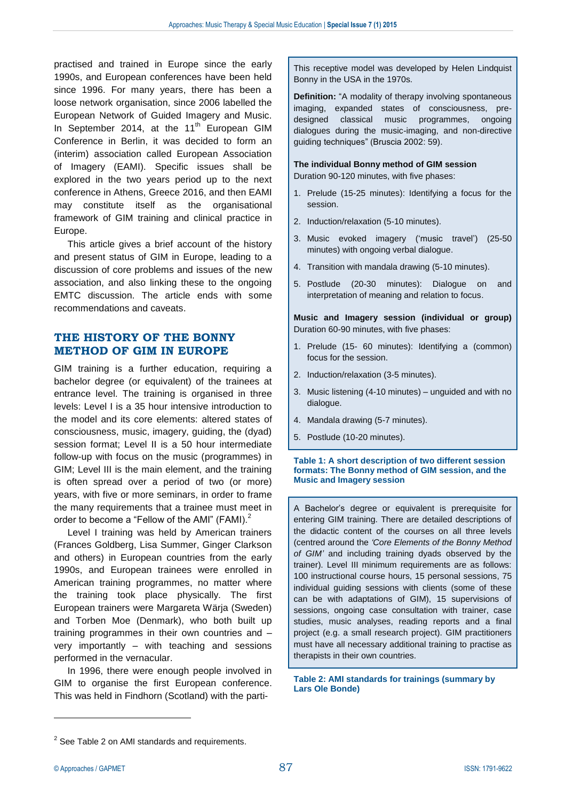practised and trained in Europe since the early 1990s, and European conferences have been held since 1996. For many years, there has been a loose network organisation, since 2006 labelled the European Network of Guided Imagery and Music. In September 2014, at the  $11<sup>th</sup>$  European GIM Conference in Berlin, it was decided to form an (interim) association called European Association of Imagery (EAMI). Specific issues shall be explored in the two years period up to the next conference in Athens, Greece 2016, and then EAMI may constitute itself as the organisational framework of GIM training and clinical practice in Europe.

This article gives a brief account of the history and present status of GIM in Europe, leading to a discussion of core problems and issues of the new association, and also linking these to the ongoing EMTC discussion. The article ends with some recommendations and caveats.

## **THE HISTORY OF THE BONNY METHOD OF GIM IN EUROPE**

GIM training is a further education, requiring a bachelor degree (or equivalent) of the trainees at entrance level. The training is organised in three levels: Level I is a 35 hour intensive introduction to the model and its core elements: altered states of consciousness, music, imagery, guiding, the (dyad) session format; Level II is a 50 hour intermediate follow-up with focus on the music (programmes) in GIM; Level III is the main element, and the training is often spread over a period of two (or more) years, with five or more seminars, in order to frame the many requirements that a trainee must meet in order to become a "Fellow of the AMI" (FAMI).<sup>2</sup>

Level I training was held by American trainers (Frances Goldberg, Lisa Summer, Ginger Clarkson and others) in European countries from the early 1990s, and European trainees were enrolled in American training programmes, no matter where the training took place physically. The first European trainers were Margareta Wärja (Sweden) and Torben Moe (Denmark), who both built up training programmes in their own countries and – very importantly – with teaching and sessions performed in the vernacular.

In 1996, there were enough people involved in GIM to organise the first European conference. This was held in Findhorn (Scotland) with the partiThis receptive model was developed by Helen Lindquist Bonny in the USA in the 1970s.

**Definition:** "A modality of therapy involving spontaneous imaging, expanded states of consciousness, predesigned classical music programmes, ongoing dialogues during the music-imaging, and non-directive guiding techniques" (Bruscia 2002: 59).

**The individual Bonny method of GIM session**  Duration 90-120 minutes, with five phases:

- 1. Prelude (15-25 minutes): Identifying a focus for the session.
- 2. Induction/relaxation (5-10 minutes).
- 3. Music evoked imagery ('music travel') (25-50 minutes) with ongoing verbal dialogue.
- 4. Transition with mandala drawing (5-10 minutes).
- 5. Postlude (20-30 minutes): Dialogue on and interpretation of meaning and relation to focus.

**Music and Imagery session (individual or group)** Duration 60-90 minutes, with five phases:

- 1. Prelude (15- 60 minutes): Identifying a (common) focus for the session.
- 2. Induction/relaxation (3-5 minutes).
- 3. Music listening (4-10 minutes) unguided and with no dialogue.
- 4. Mandala drawing (5-7 minutes).
- 5. Postlude (10-20 minutes).

#### **Table 1: A short description of two different session formats: The Bonny method of GIM session, and the Music and Imagery session**

A Bachelor's degree or equivalent is prerequisite for entering GIM training. There are detailed descriptions of the didactic content of the courses on all three levels (centred around the *'Core Elements of the Bonny Method of GIM'* and including training dyads observed by the trainer). Level III minimum requirements are as follows: 100 instructional course hours, 15 personal sessions, 75 individual guiding sessions with clients (some of these can be with adaptations of GIM), 15 supervisions of sessions, ongoing case consultation with trainer, case studies, music analyses, reading reports and a final project (e.g. a small research project). GIM practitioners must have all necessary additional training to practise as therapists in their own countries.

**Table 2: AMI standards for trainings (summary by Lars Ole Bonde)**

 $\overline{a}$ 

 $2$  See Table 2 on AMI standards and requirements.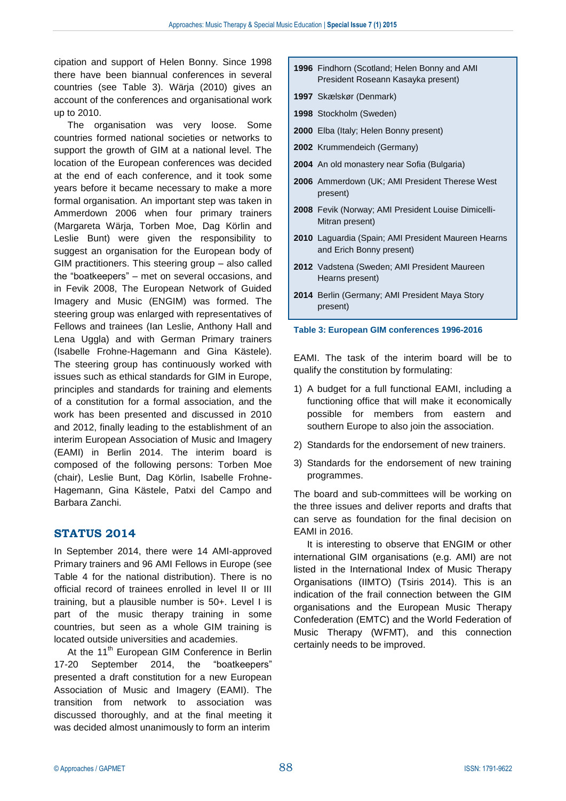cipation and support of Helen Bonny. Since 1998 there have been biannual conferences in several countries (see Table 3). Wärja (2010) gives an account of the conferences and organisational work up to 2010.

The organisation was very loose. Some countries formed national societies or networks to support the growth of GIM at a national level. The location of the European conferences was decided at the end of each conference, and it took some years before it became necessary to make a more formal organisation. An important step was taken in Ammerdown 2006 when four primary trainers (Margareta Wärja, Torben Moe, Dag Körlin and Leslie Bunt) were given the responsibility to suggest an organisation for the European body of GIM practitioners. This steering group – also called the "boatkeepers" – met on several occasions, and in Fevik 2008, The European Network of Guided Imagery and Music (ENGIM) was formed. The steering group was enlarged with representatives of Fellows and trainees (Ian Leslie, Anthony Hall and Lena Uggla) and with German Primary trainers (Isabelle Frohne-Hagemann and Gina Kästele). The steering group has continuously worked with issues such as ethical standards for GIM in Europe, principles and standards for training and elements of a constitution for a formal association, and the work has been presented and discussed in 2010 and 2012, finally leading to the establishment of an interim European Association of Music and Imagery (EAMI) in Berlin 2014. The interim board is composed of the following persons: Torben Moe (chair), Leslie Bunt, Dag Körlin, Isabelle Frohne-Hagemann, Gina Kästele, Patxi del Campo and Barbara Zanchi.

## **STATUS 2014**

In September 2014, there were 14 AMI-approved Primary trainers and 96 AMI Fellows in Europe (see Table 4 for the national distribution). There is no official record of trainees enrolled in level II or III training, but a plausible number is 50+. Level I is part of the music therapy training in some countries, but seen as a whole GIM training is located outside universities and academies.

At the 11<sup>th</sup> European GIM Conference in Berlin 17-20 September 2014, the "boatkeepers" presented a draft constitution for a new European Association of Music and Imagery (EAMI). The transition from network to association was discussed thoroughly, and at the final meeting it was decided almost unanimously to form an interim

- **1996** Findhorn (Scotland; Helen Bonny and AMI President Roseann Kasayka present)
- **1997** Skælskør (Denmark)
- **1998** Stockholm (Sweden)
- **2000** Elba (Italy; Helen Bonny present)
- **2002** Krummendeich (Germany)
- **2004** An old monastery near Sofia (Bulgaria)
- **2006** Ammerdown (UK; AMI President Therese West present)
- **2008** Fevik (Norway; AMI President Louise Dimicelli-Mitran present)
- **2010** Laguardia (Spain; AMI President Maureen Hearns and Erich Bonny present)
- **2012** Vadstena (Sweden; AMI President Maureen Hearns present)
- **2014** Berlin (Germany; AMI President Maya Story present)

#### **Table 3: European GIM conferences 1996-2016**

EAMI. The task of the interim board will be to qualify the constitution by formulating:

- 1) A budget for a full functional EAMI, including a functioning office that will make it economically possible for members from eastern and southern Europe to also join the association.
- 2) Standards for the endorsement of new trainers.
- 3) Standards for the endorsement of new training programmes.

The board and sub-committees will be working on the three issues and deliver reports and drafts that can serve as foundation for the final decision on EAMI in 2016.

It is interesting to observe that ENGIM or other international GIM organisations (e.g. AMI) are not listed in the International Index of Music Therapy Organisations (IIMTO) (Tsiris 2014). This is an indication of the frail connection between the GIM organisations and the European Music Therapy Confederation (EMTC) and the World Federation of Music Therapy (WFMT), and this connection certainly needs to be improved.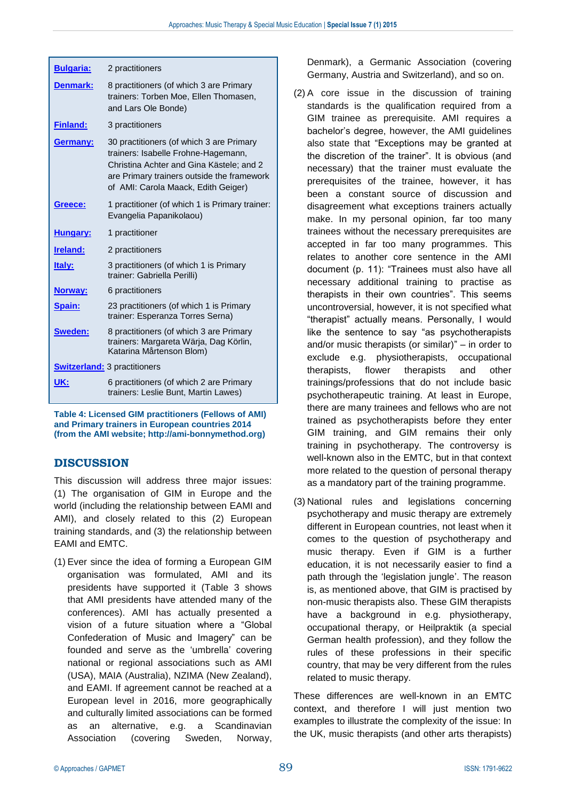| <b>Bulgaria:</b>                    | 2 practitioners                                                                                                                                                                                                  |
|-------------------------------------|------------------------------------------------------------------------------------------------------------------------------------------------------------------------------------------------------------------|
| <b>Denmark:</b>                     | 8 practitioners (of which 3 are Primary<br>trainers: Torben Moe, Ellen Thomasen,<br>and Lars Ole Bonde)                                                                                                          |
| <b>Finland:</b>                     | 3 practitioners                                                                                                                                                                                                  |
| <b>Germany:</b>                     | 30 practitioners (of which 3 are Primary<br>trainers: Isabelle Frohne-Hagemann,<br>Christina Achter and Gina Kästele; and 2<br>are Primary trainers outside the framework<br>of AMI: Carola Maack, Edith Geiger) |
| Greece:                             | 1 practitioner (of which 1 is Primary trainer:<br>Evangelia Papanikolaou)                                                                                                                                        |
| Hungary:                            | 1 practitioner                                                                                                                                                                                                   |
| <b>Ireland:</b>                     | 2 practitioners                                                                                                                                                                                                  |
| Italy:                              | 3 practitioners (of which 1 is Primary<br>trainer: Gabriella Perilli)                                                                                                                                            |
| Norway:                             | 6 practitioners                                                                                                                                                                                                  |
| <b>Spain:</b>                       | 23 practitioners (of which 1 is Primary<br>trainer: Esperanza Torres Serna)                                                                                                                                      |
| Sweden:                             | 8 practitioners (of which 3 are Primary<br>trainers: Margareta Wärja, Dag Körlin,<br>Katarina Mårtenson Blom)                                                                                                    |
| <b>Switzerland:</b> 3 practitioners |                                                                                                                                                                                                                  |
| UK:                                 | 6 practitioners (of which 2 are Primary<br>trainers: Leslie Bunt, Martin Lawes)                                                                                                                                  |
|                                     |                                                                                                                                                                                                                  |

**Table 4: Licensed GIM practitioners (Fellows of AMI) and Primary trainers in European countries 2014 (from the AMI website; [http://ami-bonnymethod.org\)](http://ami-bonnymethod.org/)**

# **DISCUSSION**

This discussion will address three major issues: (1) The organisation of GIM in Europe and the world (including the relationship between EAMI and AMI), and closely related to this (2) European training standards, and (3) the relationship between EAMI and EMTC.

(1) Ever since the idea of forming a European GIM organisation was formulated, AMI and its presidents have supported it (Table 3 shows that AMI presidents have attended many of the conferences). AMI has actually presented a vision of a future situation where a "Global Confederation of Music and Imagery" can be founded and serve as the 'umbrella' covering national or regional associations such as AMI (USA), MAIA (Australia), NZIMA (New Zealand), and EAMI. If agreement cannot be reached at a European level in 2016, more geographically and culturally limited associations can be formed as an alternative, e.g. a Scandinavian Association (covering Sweden, Norway,

Denmark), a Germanic Association (covering Germany, Austria and Switzerland), and so on.

- (2) A core issue in the discussion of training standards is the qualification required from a GIM trainee as prerequisite. AMI requires a bachelor's degree, however, the AMI guidelines also state that "Exceptions may be granted at the discretion of the trainer". It is obvious (and necessary) that the trainer must evaluate the prerequisites of the trainee, however, it has been a constant source of discussion and disagreement what exceptions trainers actually make. In my personal opinion, far too many trainees without the necessary prerequisites are accepted in far too many programmes. This relates to another core sentence in the AMI document (p. 11): "Trainees must also have all necessary additional training to practise as therapists in their own countries". This seems uncontroversial, however, it is not specified what "therapist" actually means. Personally, I would like the sentence to say "as psychotherapists and/or music therapists (or similar)" – in order to exclude e.g. physiotherapists, occupational therapists, flower therapists and other trainings/professions that do not include basic psychotherapeutic training. At least in Europe, there are many trainees and fellows who are not trained as psychotherapists before they enter GIM training, and GIM remains their only training in psychotherapy. The controversy is well-known also in the EMTC, but in that context more related to the question of personal therapy as a mandatory part of the training programme.
- (3) National rules and legislations concerning psychotherapy and music therapy are extremely different in European countries, not least when it comes to the question of psychotherapy and music therapy. Even if GIM is a further education, it is not necessarily easier to find a path through the 'legislation jungle'. The reason is, as mentioned above, that GIM is practised by non-music therapists also. These GIM therapists have a background in e.g. physiotherapy, occupational therapy, or Heilpraktik (a special German health profession), and they follow the rules of these professions in their specific country, that may be very different from the rules related to music therapy.

These differences are well-known in an EMTC context, and therefore I will just mention two examples to illustrate the complexity of the issue: In the UK, music therapists (and other arts therapists)